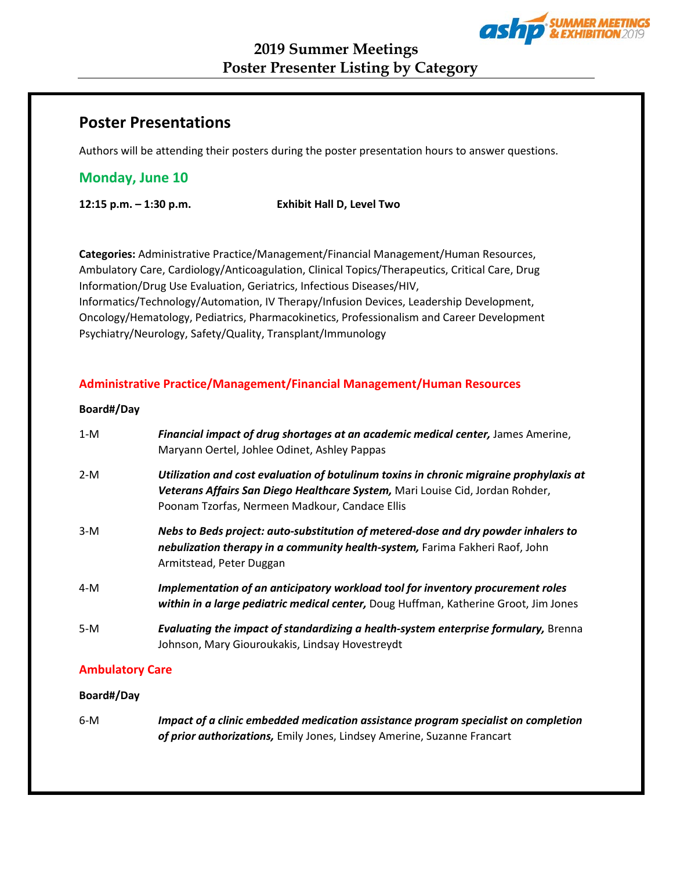

# **Poster Presentations**

Authors will be attending their posters during the poster presentation hours to answer questions.

# **Monday, June 10**

**12:15 p.m. – 1:30 p.m. Exhibit Hall D, Level Two**

**Categories:** Administrative Practice/Management/Financial Management/Human Resources, Ambulatory Care, Cardiology/Anticoagulation, Clinical Topics/Therapeutics, Critical Care, Drug Information/Drug Use Evaluation, Geriatrics, Infectious Diseases/HIV, Informatics/Technology/Automation, IV Therapy/Infusion Devices, Leadership Development, Oncology/Hematology, Pediatrics, Pharmacokinetics, Professionalism and Career Development Psychiatry/Neurology, Safety/Quality, Transplant/Immunology

## **Administrative Practice/Management/Financial Management/Human Resources**

## **Board#/Day**

| $1-M$ | Financial impact of drug shortages at an academic medical center, James Amerine,<br>Maryann Oertel, Johlee Odinet, Ashley Pappas                                                                                          |
|-------|---------------------------------------------------------------------------------------------------------------------------------------------------------------------------------------------------------------------------|
| $2-M$ | Utilization and cost evaluation of botulinum toxins in chronic migraine prophylaxis at<br>Veterans Affairs San Diego Healthcare System, Mari Louise Cid, Jordan Rohder,<br>Poonam Tzorfas, Nermeen Madkour, Candace Ellis |
| $3-M$ | Nebs to Beds project: auto-substitution of metered-dose and dry powder inhalers to<br>nebulization therapy in a community health-system, Farima Fakheri Raof, John<br>Armitstead, Peter Duggan                            |
| $4-M$ | Implementation of an anticipatory workload tool for inventory procurement roles<br>within in a large pediatric medical center, Doug Huffman, Katherine Groot, Jim Jones                                                   |
| $5-M$ | Evaluating the impact of standardizing a health-system enterprise formulary, Brenna<br>Johnson, Mary Giouroukakis, Lindsay Hovestreydt                                                                                    |

## **Ambulatory Care**

## **Board#/Day**

6-M *Impact of a clinic embedded medication assistance program specialist on completion of prior authorizations,* Emily Jones, Lindsey Amerine, Suzanne Francart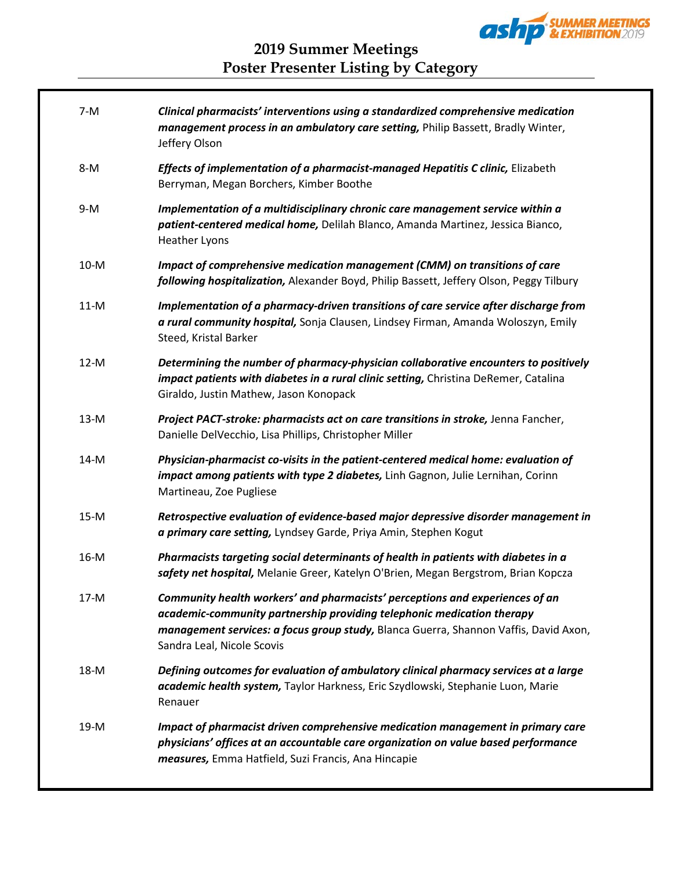

| $7-M$  | Clinical pharmacists' interventions using a standardized comprehensive medication<br>management process in an ambulatory care setting, Philip Bassett, Bradly Winter,<br>Jeffery Olson                                                                                       |
|--------|------------------------------------------------------------------------------------------------------------------------------------------------------------------------------------------------------------------------------------------------------------------------------|
| $8-M$  | Effects of implementation of a pharmacist-managed Hepatitis C clinic, Elizabeth<br>Berryman, Megan Borchers, Kimber Boothe                                                                                                                                                   |
| $9-M$  | Implementation of a multidisciplinary chronic care management service within a<br>patient-centered medical home, Delilah Blanco, Amanda Martinez, Jessica Bianco,<br><b>Heather Lyons</b>                                                                                    |
| $10-M$ | Impact of comprehensive medication management (CMM) on transitions of care<br>following hospitalization, Alexander Boyd, Philip Bassett, Jeffery Olson, Peggy Tilbury                                                                                                        |
| $11-M$ | Implementation of a pharmacy-driven transitions of care service after discharge from<br>a rural community hospital, Sonja Clausen, Lindsey Firman, Amanda Woloszyn, Emily<br>Steed, Kristal Barker                                                                           |
| $12-M$ | Determining the number of pharmacy-physician collaborative encounters to positively<br>impact patients with diabetes in a rural clinic setting, Christina DeRemer, Catalina<br>Giraldo, Justin Mathew, Jason Konopack                                                        |
| $13-M$ | Project PACT-stroke: pharmacists act on care transitions in stroke, Jenna Fancher,<br>Danielle DelVecchio, Lisa Phillips, Christopher Miller                                                                                                                                 |
| $14-M$ | Physician-pharmacist co-visits in the patient-centered medical home: evaluation of<br>impact among patients with type 2 diabetes, Linh Gagnon, Julie Lernihan, Corinn<br>Martineau, Zoe Pugliese                                                                             |
| $15-M$ | Retrospective evaluation of evidence-based major depressive disorder management in<br>a primary care setting, Lyndsey Garde, Priya Amin, Stephen Kogut                                                                                                                       |
| $16-M$ | Pharmacists targeting social determinants of health in patients with diabetes in a<br>safety net hospital, Melanie Greer, Katelyn O'Brien, Megan Bergstrom, Brian Kopcza                                                                                                     |
| $17-M$ | Community health workers' and pharmacists' perceptions and experiences of an<br>academic-community partnership providing telephonic medication therapy<br>management services: a focus group study, Blanca Guerra, Shannon Vaffis, David Axon,<br>Sandra Leal, Nicole Scovis |
| 18-M   | Defining outcomes for evaluation of ambulatory clinical pharmacy services at a large<br>academic health system, Taylor Harkness, Eric Szydlowski, Stephanie Luon, Marie<br>Renauer                                                                                           |
| 19-M   | Impact of pharmacist driven comprehensive medication management in primary care<br>physicians' offices at an accountable care organization on value based performance<br>measures, Emma Hatfield, Suzi Francis, Ana Hincapie                                                 |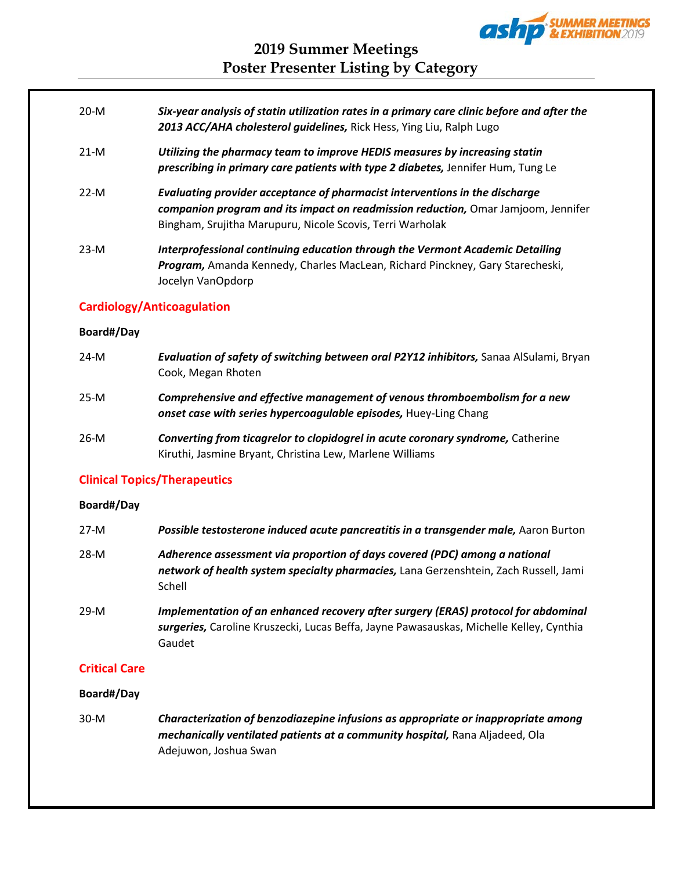

- 20-M *Six-year analysis of statin utilization rates in a primary care clinic before and after the 2013 ACC/AHA cholesterol guidelines,* Rick Hess, Ying Liu, Ralph Lugo
- 21-M *Utilizing the pharmacy team to improve HEDIS measures by increasing statin prescribing in primary care patients with type 2 diabetes,* Jennifer Hum, Tung Le
- 22-M *Evaluating provider acceptance of pharmacist interventions in the discharge companion program and its impact on readmission reduction,* Omar Jamjoom, Jennifer Bingham, Srujitha Marupuru, Nicole Scovis, Terri Warholak
- 23-M *Interprofessional continuing education through the Vermont Academic Detailing Program,* Amanda Kennedy, Charles MacLean, Richard Pinckney, Gary Starecheski, Jocelyn VanOpdorp

## **Cardiology/Anticoagulation**

#### **Board#/Day**

24-M *Evaluation of safety of switching between oral P2Y12 inhibitors,* Sanaa AlSulami, Bryan Cook, Megan Rhoten 25-M *Comprehensive and effective management of venous thromboembolism for a new onset case with series hypercoagulable episodes,* Huey-Ling Chang 26-M *Converting from ticagrelor to clopidogrel in acute coronary syndrome,* Catherine Kiruthi, Jasmine Bryant, Christina Lew, Marlene Williams

## **Clinical Topics/Therapeutics**

## **Board#/Day**

| $27-M$ | Possible testosterone induced acute pancreatitis in a transgender male, Aaron Burton                                                                                                    |
|--------|-----------------------------------------------------------------------------------------------------------------------------------------------------------------------------------------|
| 28-M   | Adherence assessment via proportion of days covered (PDC) among a national<br>network of health system specialty pharmacies, Lana Gerzenshtein, Zach Russell, Jami<br>Schell            |
| 29-M   | Implementation of an enhanced recovery after surgery (ERAS) protocol for abdominal<br>surgeries, Caroline Kruszecki, Lucas Beffa, Jayne Pawasauskas, Michelle Kelley, Cynthia<br>Gaudet |

## **Critical Care**

## **Board#/Day**

30-M *Characterization of benzodiazepine infusions as appropriate or inappropriate among mechanically ventilated patients at a community hospital,* Rana Aljadeed, Ola Adejuwon, Joshua Swan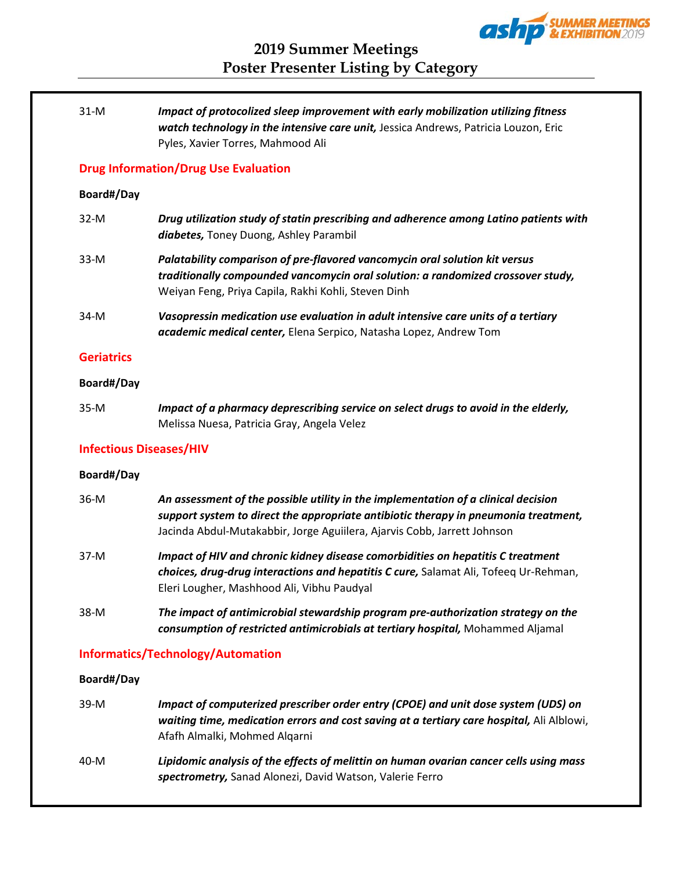

| $31-M$                         | Impact of protocolized sleep improvement with early mobilization utilizing fitness<br>watch technology in the intensive care unit, Jessica Andrews, Patricia Louzon, Eric<br>Pyles, Xavier Torres, Mahmood Ali                                        |
|--------------------------------|-------------------------------------------------------------------------------------------------------------------------------------------------------------------------------------------------------------------------------------------------------|
|                                | <b>Drug Information/Drug Use Evaluation</b>                                                                                                                                                                                                           |
| Board#/Day                     |                                                                                                                                                                                                                                                       |
| $32-M$                         | Drug utilization study of statin prescribing and adherence among Latino patients with<br>diabetes, Toney Duong, Ashley Parambil                                                                                                                       |
| $33-M$                         | Palatability comparison of pre-flavored vancomycin oral solution kit versus<br>traditionally compounded vancomycin oral solution: a randomized crossover study,<br>Weiyan Feng, Priya Capila, Rakhi Kohli, Steven Dinh                                |
| $34-M$                         | Vasopressin medication use evaluation in adult intensive care units of a tertiary<br>academic medical center, Elena Serpico, Natasha Lopez, Andrew Tom                                                                                                |
| <b>Geriatrics</b>              |                                                                                                                                                                                                                                                       |
| Board#/Day                     |                                                                                                                                                                                                                                                       |
| $35-M$                         | Impact of a pharmacy deprescribing service on select drugs to avoid in the elderly,<br>Melissa Nuesa, Patricia Gray, Angela Velez                                                                                                                     |
| <b>Infectious Diseases/HIV</b> |                                                                                                                                                                                                                                                       |
| Board#/Day                     |                                                                                                                                                                                                                                                       |
| $36-M$                         | An assessment of the possible utility in the implementation of a clinical decision<br>support system to direct the appropriate antibiotic therapy in pneumonia treatment,<br>Jacinda Abdul-Mutakabbir, Jorge Aguiilera, Ajarvis Cobb, Jarrett Johnson |
| $37-M$                         | Impact of HIV and chronic kidney disease comorbidities on hepatitis C treatment<br>choices, drug-drug interactions and hepatitis C cure, Salamat Ali, Tofeeq Ur-Rehman,<br>Eleri Lougher, Mashhood Ali, Vibhu Paudyal                                 |
| 38-M                           | The impact of antimicrobial stewardship program pre-authorization strategy on the<br>consumption of restricted antimicrobials at tertiary hospital, Mohammed Aljamal                                                                                  |
|                                | <b>Informatics/Technology/Automation</b>                                                                                                                                                                                                              |
| Board#/Day                     |                                                                                                                                                                                                                                                       |
|                                | f computerized processible realize option (CDOF) and unit does quoter                                                                                                                                                                                 |

39-M *Impact of computerized prescriber order entry (CPOE) and unit dose system (UDS) on waiting time, medication errors and cost saving at a tertiary care hospital,* Ali Alblowi, Afafh Almalki, Mohmed Alqarni 40-M *Lipidomic analysis of the effects of melittin on human ovarian cancer cells using mass spectrometry,* Sanad Alonezi, David Watson, Valerie Ferro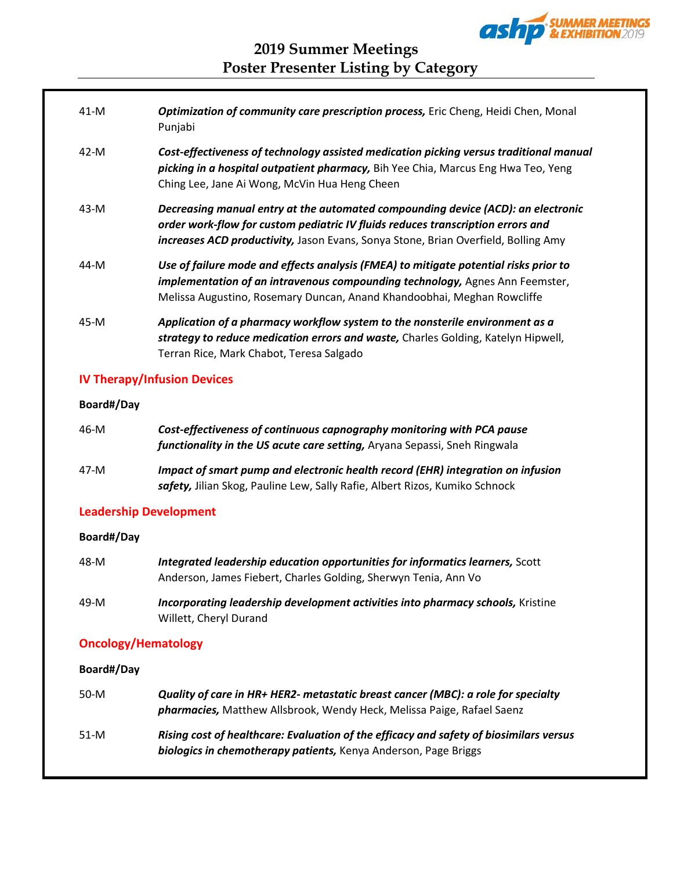

| $41-M$ | <b>Optimization of community care prescription process, Eric Cheng, Heidi Chen, Monal</b><br>Punjabi                                                                                                                                                      |
|--------|-----------------------------------------------------------------------------------------------------------------------------------------------------------------------------------------------------------------------------------------------------------|
| 42-M   | Cost-effectiveness of technology assisted medication picking versus traditional manual<br>picking in a hospital outpatient pharmacy, Bih Yee Chia, Marcus Eng Hwa Teo, Yeng<br>Ching Lee, Jane Ai Wong, McVin Hua Heng Cheen                              |
| $43-M$ | Decreasing manual entry at the automated compounding device (ACD): an electronic<br>order work-flow for custom pediatric IV fluids reduces transcription errors and<br>increases ACD productivity, Jason Evans, Sonya Stone, Brian Overfield, Bolling Amy |
| 44-M   | Use of failure mode and effects analysis (FMEA) to mitigate potential risks prior to<br>implementation of an intravenous compounding technology, Agnes Ann Feemster,<br>Melissa Augustino, Rosemary Duncan, Anand Khandoobhai, Meghan Rowcliffe           |
| 45-M   | Application of a pharmacy workflow system to the nonsterile environment as a<br>strategy to reduce medication errors and waste, Charles Golding, Katelyn Hipwell,<br>Terran Rice, Mark Chabot, Teresa Salgado                                             |

# **IV Therapy/Infusion Devices**

## **Board#/Day**

| 46-M | Cost-effectiveness of continuous capnography monitoring with PCA pause<br>functionality in the US acute care setting, Aryana Sepassi, Sneh Ringwala            |
|------|----------------------------------------------------------------------------------------------------------------------------------------------------------------|
| 47-M | Impact of smart pump and electronic health record (EHR) integration on infusion<br>safety, Jilian Skog, Pauline Lew, Sally Rafie, Albert Rizos, Kumiko Schnock |

## **Leadership Development**

## **Board#/Day**

| 48-M | Integrated leadership education opportunities for informatics learners, Scott                             |
|------|-----------------------------------------------------------------------------------------------------------|
|      | Anderson, James Fiebert, Charles Golding, Sherwyn Tenia, Ann Vo                                           |
| 49-M | Incorporating leadership development activities into pharmacy schools, Kristine<br>Willett, Cheryl Durand |

# **Oncology/Hematology**

**Board#/Day**

| $50-M$ | Quality of care in HR+ HER2- metastatic breast cancer (MBC): a role for specialty<br>pharmacies, Matthew Allsbrook, Wendy Heck, Melissa Paige, Rafael Saenz |
|--------|-------------------------------------------------------------------------------------------------------------------------------------------------------------|
| $51-M$ | Rising cost of healthcare: Evaluation of the efficacy and safety of biosimilars versus<br>biologics in chemotherapy patients, Kenya Anderson, Page Briggs   |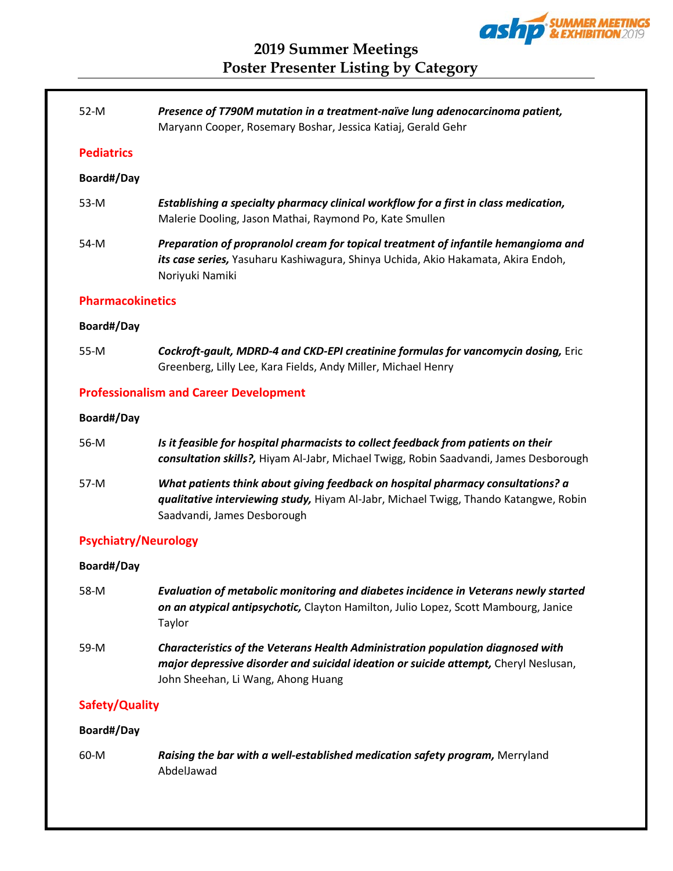

**2019 Summer Meetings Poster Presenter Listing by Category**

| $52-M$                  | Presence of T790M mutation in a treatment-naïve lung adenocarcinoma patient,<br>Maryann Cooper, Rosemary Boshar, Jessica Katiaj, Gerald Gehr                                                           |
|-------------------------|--------------------------------------------------------------------------------------------------------------------------------------------------------------------------------------------------------|
| <b>Pediatrics</b>       |                                                                                                                                                                                                        |
| Board#/Day              |                                                                                                                                                                                                        |
| 53-M                    | Establishing a specialty pharmacy clinical workflow for a first in class medication,<br>Malerie Dooling, Jason Mathai, Raymond Po, Kate Smullen                                                        |
| 54-M                    | Preparation of propranolol cream for topical treatment of infantile hemangioma and<br>its case series, Yasuharu Kashiwagura, Shinya Uchida, Akio Hakamata, Akira Endoh,<br>Noriyuki Namiki             |
| <b>Pharmacokinetics</b> |                                                                                                                                                                                                        |
| Board#/Day              |                                                                                                                                                                                                        |
| 55-M                    | Cockroft-gault, MDRD-4 and CKD-EPI creatinine formulas for vancomycin dosing, Eric<br>Greenberg, Lilly Lee, Kara Fields, Andy Miller, Michael Henry                                                    |
|                         | <b>Professionalism and Career Development</b>                                                                                                                                                          |
| Board#/Day              |                                                                                                                                                                                                        |
| 56-M                    | Is it feasible for hospital pharmacists to collect feedback from patients on their<br>consultation skills?, Hiyam Al-Jabr, Michael Twigg, Robin Saadvandi, James Desborough                            |
| 57-M                    | What patients think about giving feedback on hospital pharmacy consultations? a<br>qualitative interviewing study, Hiyam Al-Jabr, Michael Twigg, Thando Katangwe, Robin<br>Saadvandi, James Desborough |
|                         | <b>Psychiatry/Neurology</b>                                                                                                                                                                            |
| Board#/Day              |                                                                                                                                                                                                        |
| 58-M                    | Evaluation of metabolic monitoring and diabetes incidence in Veterans newly started<br>on an atypical antipsychotic, Clayton Hamilton, Julio Lopez, Scott Mambourg, Janice<br>Taylor                   |

59-M *Characteristics of the Veterans Health Administration population diagnosed with major depressive disorder and suicidal ideation or suicide attempt,* Cheryl Neslusan, John Sheehan, Li Wang, Ahong Huang

## **Safety/Quality**

## **Board#/Day**

60-M *Raising the bar with a well-established medication safety program,* Merryland AbdelJawad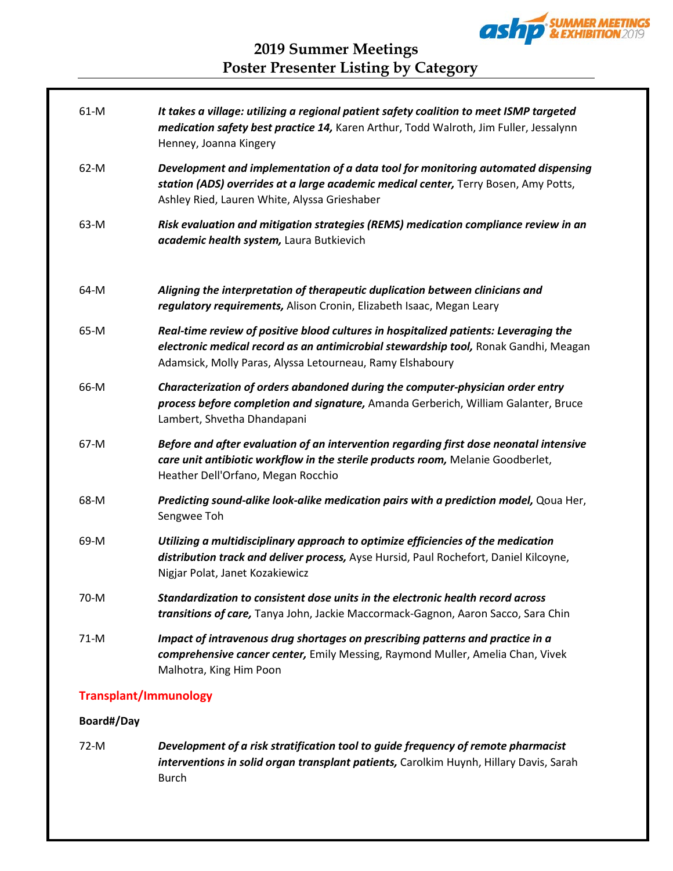

| $61-M$ | It takes a village: utilizing a regional patient safety coalition to meet ISMP targeted<br>medication safety best practice 14, Karen Arthur, Todd Walroth, Jim Fuller, Jessalynn<br>Henney, Joanna Kingery                                |
|--------|-------------------------------------------------------------------------------------------------------------------------------------------------------------------------------------------------------------------------------------------|
| $62-M$ | Development and implementation of a data tool for monitoring automated dispensing<br>station (ADS) overrides at a large academic medical center, Terry Bosen, Amy Potts,<br>Ashley Ried, Lauren White, Alyssa Grieshaber                  |
| 63-M   | Risk evaluation and mitigation strategies (REMS) medication compliance review in an<br>academic health system, Laura Butkievich                                                                                                           |
| 64-M   | Aligning the interpretation of therapeutic duplication between clinicians and<br>regulatory requirements, Alison Cronin, Elizabeth Isaac, Megan Leary                                                                                     |
| 65-M   | Real-time review of positive blood cultures in hospitalized patients: Leveraging the<br>electronic medical record as an antimicrobial stewardship tool, Ronak Gandhi, Meagan<br>Adamsick, Molly Paras, Alyssa Letourneau, Ramy Elshaboury |
| 66-M   | Characterization of orders abandoned during the computer-physician order entry<br>process before completion and signature, Amanda Gerberich, William Galanter, Bruce<br>Lambert, Shvetha Dhandapani                                       |
| 67-M   | Before and after evaluation of an intervention regarding first dose neonatal intensive<br>care unit antibiotic workflow in the sterile products room, Melanie Goodberlet,<br>Heather Dell'Orfano, Megan Rocchio                           |
| 68-M   | Predicting sound-alike look-alike medication pairs with a prediction model, Qoua Her,<br>Sengwee Toh                                                                                                                                      |
| 69-M   | Utilizing a multidisciplinary approach to optimize efficiencies of the medication<br>distribution track and deliver process, Ayse Hursid, Paul Rochefort, Daniel Kilcoyne,<br>Nigjar Polat, Janet Kozakiewicz                             |
| 70-M   | Standardization to consistent dose units in the electronic health record across<br>transitions of care, Tanya John, Jackie Maccormack-Gagnon, Aaron Sacco, Sara Chin                                                                      |
| $71-M$ | Impact of intravenous drug shortages on prescribing patterns and practice in a<br>comprehensive cancer center, Emily Messing, Raymond Muller, Amelia Chan, Vivek<br>Malhotra, King Him Poon                                               |

# **Transplant/Immunology**

## **Board#/Day**

72-M *Development of a risk stratification tool to guide frequency of remote pharmacist interventions in solid organ transplant patients,* Carolkim Huynh, Hillary Davis, Sarah Burch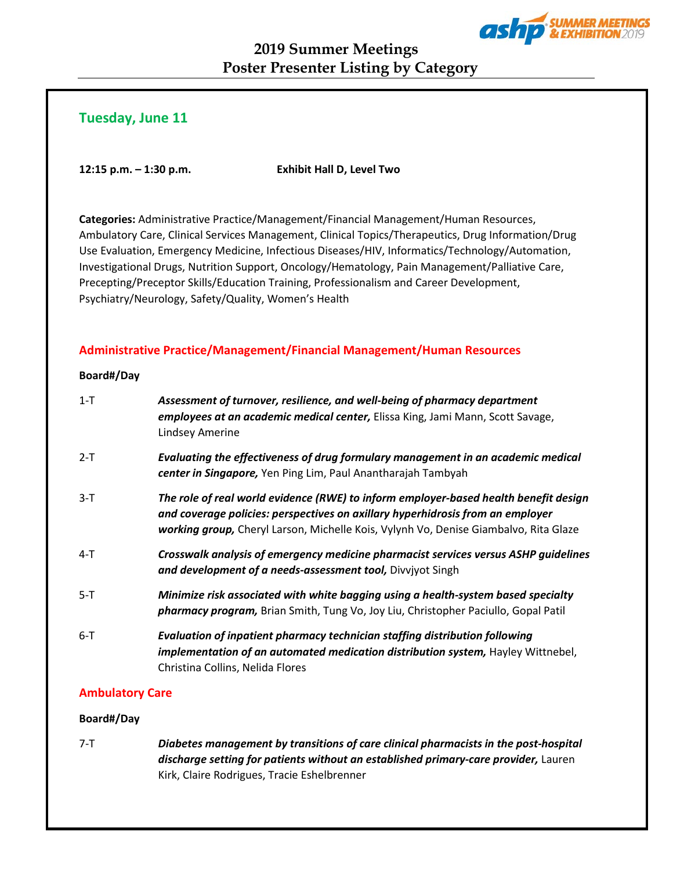

# **2019 Summer Meetings Poster Presenter Listing by Category**

# **Tuesday, June 11**

**12:15 p.m. – 1:30 p.m. Exhibit Hall D, Level Two**

**Categories:** Administrative Practice/Management/Financial Management/Human Resources, Ambulatory Care, Clinical Services Management, Clinical Topics/Therapeutics, Drug Information/Drug Use Evaluation, Emergency Medicine, Infectious Diseases/HIV, Informatics/Technology/Automation, Investigational Drugs, Nutrition Support, Oncology/Hematology, Pain Management/Palliative Care, Precepting/Preceptor Skills/Education Training, Professionalism and Career Development, Psychiatry/Neurology, Safety/Quality, Women's Health

## **Administrative Practice/Management/Financial Management/Human Resources**

#### **Board#/Day**

| $1 - T$ | Assessment of turnover, resilience, and well-being of pharmacy department<br>employees at an academic medical center, Elissa King, Jami Mann, Scott Savage,<br>Lindsey Amerine                                                                                 |
|---------|----------------------------------------------------------------------------------------------------------------------------------------------------------------------------------------------------------------------------------------------------------------|
| $2-T$   | Evaluating the effectiveness of drug formulary management in an academic medical<br>center in Singapore, Yen Ping Lim, Paul Anantharajah Tambyah                                                                                                               |
| $3-T$   | The role of real world evidence (RWE) to inform employer-based health benefit design<br>and coverage policies: perspectives on axillary hyperhidrosis from an employer<br>working group, Cheryl Larson, Michelle Kois, Vylynh Vo, Denise Giambalvo, Rita Glaze |
| $4-T$   | Crosswalk analysis of emergency medicine pharmacist services versus ASHP guidelines<br>and development of a needs-assessment tool, Divviyot Singh                                                                                                              |
| $5-T$   | Minimize risk associated with white bagging using a health-system based specialty<br>pharmacy program, Brian Smith, Tung Vo, Joy Liu, Christopher Paciullo, Gopal Patil                                                                                        |
| $6 - T$ | <b>Evaluation of inpatient pharmacy technician staffing distribution following</b><br>implementation of an automated medication distribution system, Hayley Wittnebel,<br>Christina Collins, Nelida Flores                                                     |

## **Ambulatory Care**

## **Board#/Day**

7-T *Diabetes management by transitions of care clinical pharmacists in the post-hospital discharge setting for patients without an established primary-care provider,* Lauren Kirk, Claire Rodrigues, Tracie Eshelbrenner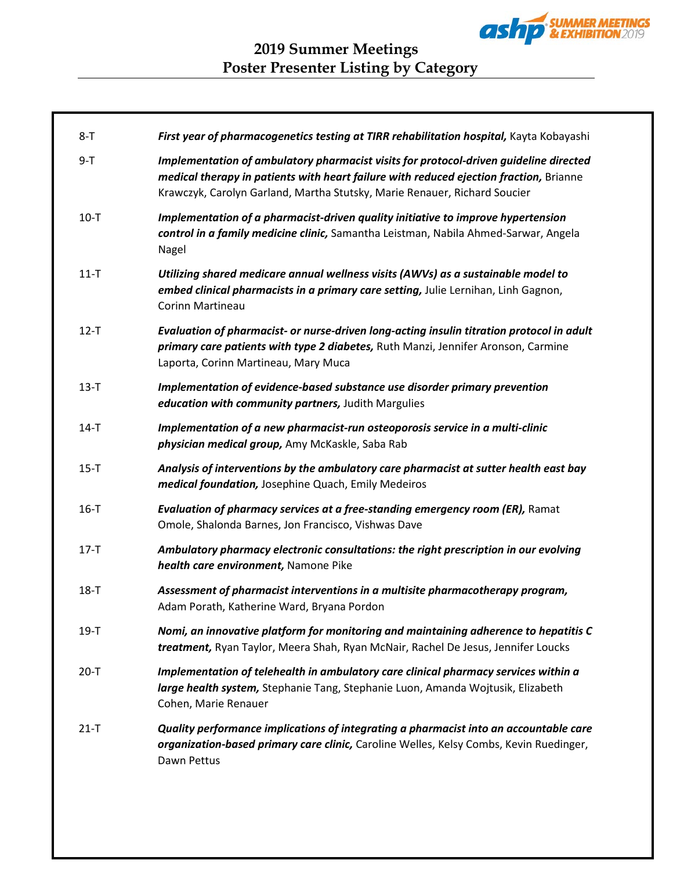

| $8 - T$  | First year of pharmacogenetics testing at TIRR rehabilitation hospital, Kayta Kobayashi                                                                                                                                                                      |
|----------|--------------------------------------------------------------------------------------------------------------------------------------------------------------------------------------------------------------------------------------------------------------|
| $9-T$    | Implementation of ambulatory pharmacist visits for protocol-driven guideline directed<br>medical therapy in patients with heart failure with reduced ejection fraction, Brianne<br>Krawczyk, Carolyn Garland, Martha Stutsky, Marie Renauer, Richard Soucier |
| $10 - T$ | Implementation of a pharmacist-driven quality initiative to improve hypertension<br>control in a family medicine clinic, Samantha Leistman, Nabila Ahmed-Sarwar, Angela<br>Nagel                                                                             |
| $11 - T$ | Utilizing shared medicare annual wellness visits (AWVs) as a sustainable model to<br>embed clinical pharmacists in a primary care setting, Julie Lernihan, Linh Gagnon,<br><b>Corinn Martineau</b>                                                           |
| $12-T$   | Evaluation of pharmacist- or nurse-driven long-acting insulin titration protocol in adult<br>primary care patients with type 2 diabetes, Ruth Manzi, Jennifer Aronson, Carmine<br>Laporta, Corinn Martineau, Mary Muca                                       |
| $13-T$   | Implementation of evidence-based substance use disorder primary prevention<br>education with community partners, Judith Margulies                                                                                                                            |
| $14-T$   | Implementation of a new pharmacist-run osteoporosis service in a multi-clinic<br>physician medical group, Amy McKaskle, Saba Rab                                                                                                                             |
| $15-T$   | Analysis of interventions by the ambulatory care pharmacist at sutter health east bay<br>medical foundation, Josephine Quach, Emily Medeiros                                                                                                                 |
| $16-T$   | Evaluation of pharmacy services at a free-standing emergency room (ER), Ramat<br>Omole, Shalonda Barnes, Jon Francisco, Vishwas Dave                                                                                                                         |
| $17-T$   | Ambulatory pharmacy electronic consultations: the right prescription in our evolving<br>health care environment, Namone Pike                                                                                                                                 |
| $18-T$   | Assessment of pharmacist interventions in a multisite pharmacotherapy program,<br>Adam Porath, Katherine Ward, Bryana Pordon                                                                                                                                 |
| $19-T$   | Nomi, an innovative platform for monitoring and maintaining adherence to hepatitis C<br>treatment, Ryan Taylor, Meera Shah, Ryan McNair, Rachel De Jesus, Jennifer Loucks                                                                                    |
| $20 - T$ | Implementation of telehealth in ambulatory care clinical pharmacy services within a<br>large health system, Stephanie Tang, Stephanie Luon, Amanda Wojtusik, Elizabeth<br>Cohen, Marie Renauer                                                               |
| $21 - T$ | Quality performance implications of integrating a pharmacist into an accountable care<br>organization-based primary care clinic, Caroline Welles, Kelsy Combs, Kevin Ruedinger,<br>Dawn Pettus                                                               |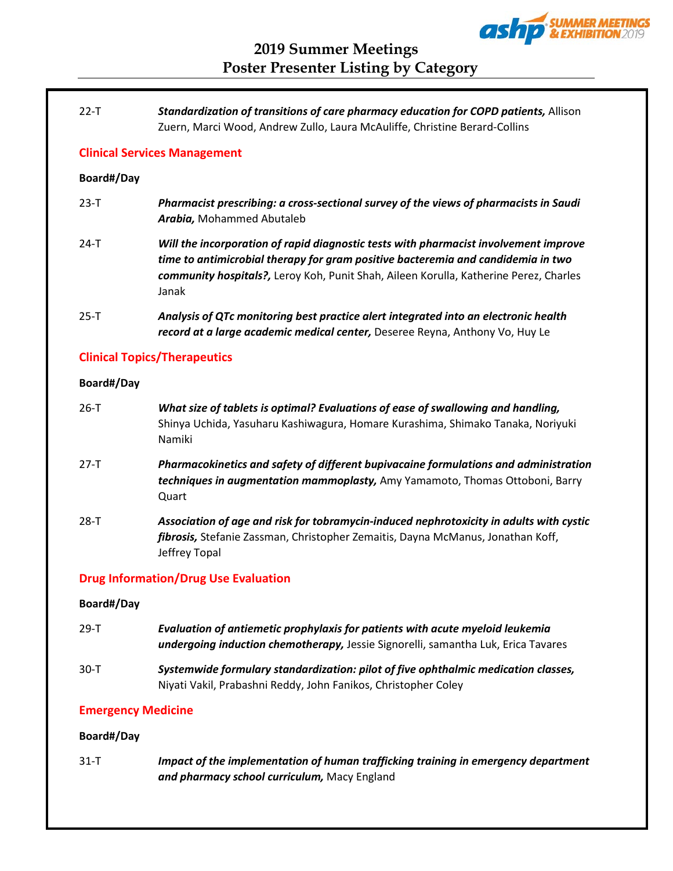

## 22-T *Standardization of transitions of care pharmacy education for COPD patients,* Allison Zuern, Marci Wood, Andrew Zullo, Laura McAuliffe, Christine Berard-Collins

## **Clinical Services Management**

## **Board#/Day**

- 23-T *Pharmacist prescribing: a cross-sectional survey of the views of pharmacists in Saudi Arabia,* Mohammed Abutaleb
- 24-T *Will the incorporation of rapid diagnostic tests with pharmacist involvement improve time to antimicrobial therapy for gram positive bacteremia and candidemia in two community hospitals?,* Leroy Koh, Punit Shah, Aileen Korulla, Katherine Perez, Charles Janak
- 25-T *Analysis of QTc monitoring best practice alert integrated into an electronic health record at a large academic medical center,* Deseree Reyna, Anthony Vo, Huy Le

## **Clinical Topics/Therapeutics**

## **Board#/Day**

26-T *What size of tablets is optimal? Evaluations of ease of swallowing and handling,* Shinya Uchida, Yasuharu Kashiwagura, Homare Kurashima, Shimako Tanaka, Noriyuki Namiki 27-T *Pharmacokinetics and safety of different bupivacaine formulations and administration techniques in augmentation mammoplasty,* Amy Yamamoto, Thomas Ottoboni, Barry Quart 28-T *Association of age and risk for tobramycin-induced nephrotoxicity in adults with cystic fibrosis,* Stefanie Zassman, Christopher Zemaitis, Dayna McManus, Jonathan Koff, Jeffrey Topal

## **Drug Information/Drug Use Evaluation**

## **Board#/Day**

- 29-T *Evaluation of antiemetic prophylaxis for patients with acute myeloid leukemia undergoing induction chemotherapy,* Jessie Signorelli, samantha Luk, Erica Tavares
- 30-T *Systemwide formulary standardization: pilot of five ophthalmic medication classes,* Niyati Vakil, Prabashni Reddy, John Fanikos, Christopher Coley

## **Emergency Medicine**

## **Board#/Day**

31-T *Impact of the implementation of human trafficking training in emergency department and pharmacy school curriculum,* Macy England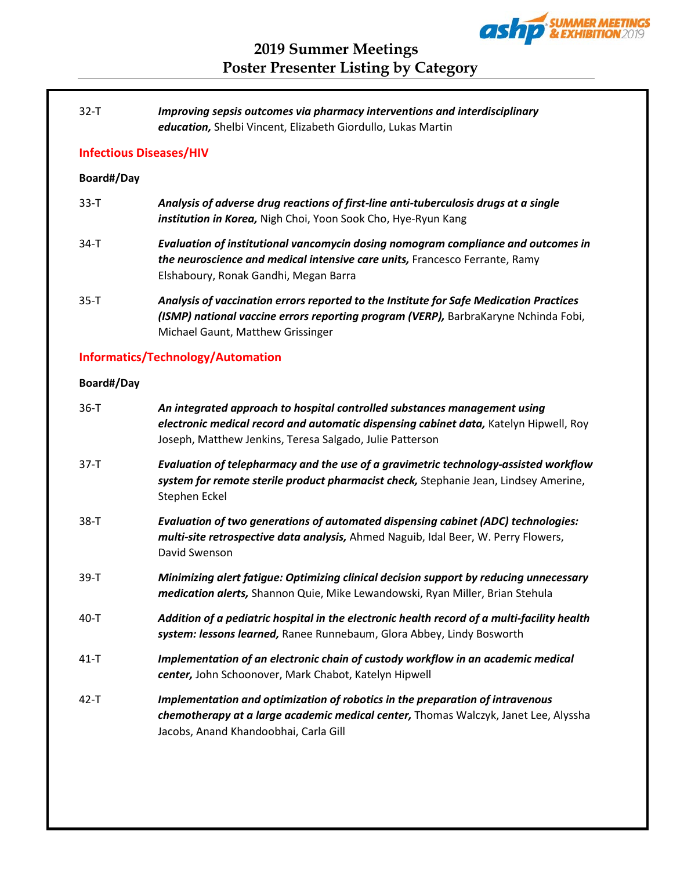

## 32-T *Improving sepsis outcomes via pharmacy interventions and interdisciplinary education,* Shelbi Vincent, Elizabeth Giordullo, Lukas Martin

## **Infectious Diseases/HIV**

## **Board#/Day**

- 33-T *Analysis of adverse drug reactions of first-line anti-tuberculosis drugs at a single institution in Korea,* Nigh Choi, Yoon Sook Cho, Hye-Ryun Kang
- 34-T *Evaluation of institutional vancomycin dosing nomogram compliance and outcomes in the neuroscience and medical intensive care units,* Francesco Ferrante, Ramy Elshaboury, Ronak Gandhi, Megan Barra
- 35-T *Analysis of vaccination errors reported to the Institute for Safe Medication Practices (ISMP) national vaccine errors reporting program (VERP),* BarbraKaryne Nchinda Fobi, Michael Gaunt, Matthew Grissinger

## **Informatics/Technology/Automation**

## **Board#/Day**

| $36-T$   | An integrated approach to hospital controlled substances management using<br>electronic medical record and automatic dispensing cabinet data, Katelyn Hipwell, Roy<br>Joseph, Matthew Jenkins, Teresa Salgado, Julie Patterson |
|----------|--------------------------------------------------------------------------------------------------------------------------------------------------------------------------------------------------------------------------------|
| $37-T$   | Evaluation of telepharmacy and the use of a gravimetric technology-assisted workflow<br>system for remote sterile product pharmacist check, Stephanie Jean, Lindsey Amerine,<br>Stephen Eckel                                  |
| $38 - T$ | Evaluation of two generations of automated dispensing cabinet (ADC) technologies:<br>multi-site retrospective data analysis, Ahmed Naguib, Idal Beer, W. Perry Flowers,<br>David Swenson                                       |
| $39-T$   | Minimizing alert fatigue: Optimizing clinical decision support by reducing unnecessary<br>medication alerts, Shannon Quie, Mike Lewandowski, Ryan Miller, Brian Stehula                                                        |
| $40 - T$ | Addition of a pediatric hospital in the electronic health record of a multi-facility health<br>system: lessons learned, Ranee Runnebaum, Glora Abbey, Lindy Bosworth                                                           |
| $41 - T$ | Implementation of an electronic chain of custody workflow in an academic medical<br>center, John Schoonover, Mark Chabot, Katelyn Hipwell                                                                                      |
| $42 - T$ | Implementation and optimization of robotics in the preparation of intravenous<br>chemotherapy at a large academic medical center, Thomas Walczyk, Janet Lee, Alyssha<br>Jacobs, Anand Khandoobhai, Carla Gill                  |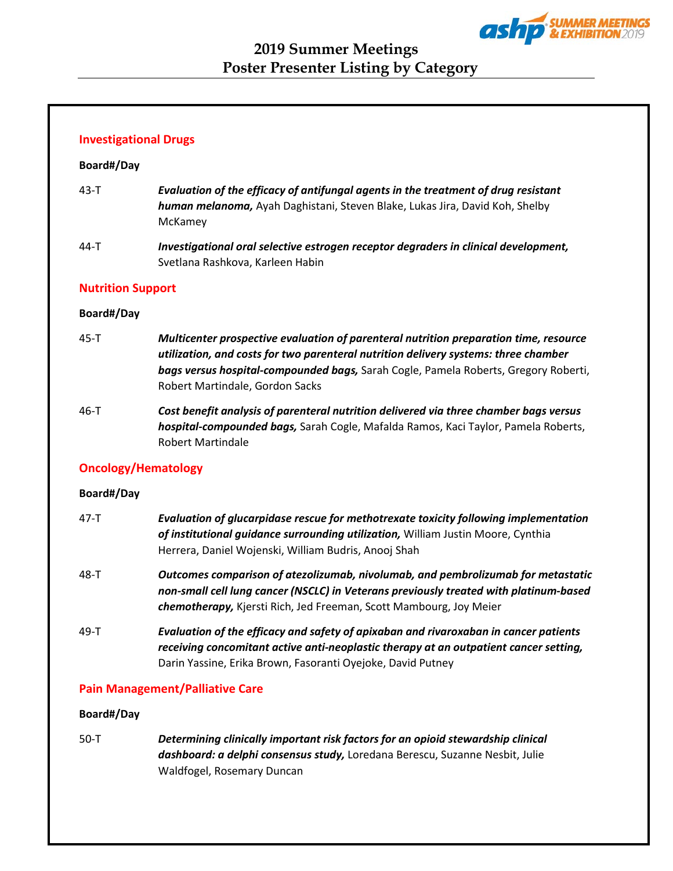

## **Investigational Drugs**

## **Board#/Day**

- 43-T *Evaluation of the efficacy of antifungal agents in the treatment of drug resistant human melanoma,* Ayah Daghistani, Steven Blake, Lukas Jira, David Koh, Shelby McKamey
- 44-T *Investigational oral selective estrogen receptor degraders in clinical development,* Svetlana Rashkova, Karleen Habin

## **Nutrition Support**

## **Board#/Day**

- 45-T *Multicenter prospective evaluation of parenteral nutrition preparation time, resource utilization, and costs for two parenteral nutrition delivery systems: three chamber bags versus hospital-compounded bags,* Sarah Cogle, Pamela Roberts, Gregory Roberti, Robert Martindale, Gordon Sacks
- 46-T *Cost benefit analysis of parenteral nutrition delivered via three chamber bags versus hospital-compounded bags,* Sarah Cogle, Mafalda Ramos, Kaci Taylor, Pamela Roberts, Robert Martindale

## **Oncology/Hematology**

#### **Board#/Day**

- 47-T *Evaluation of glucarpidase rescue for methotrexate toxicity following implementation of institutional guidance surrounding utilization,* William Justin Moore, Cynthia Herrera, Daniel Wojenski, William Budris, Anooj Shah
- 48-T *Outcomes comparison of atezolizumab, nivolumab, and pembrolizumab for metastatic non-small cell lung cancer (NSCLC) in Veterans previously treated with platinum-based chemotherapy,* Kjersti Rich, Jed Freeman, Scott Mambourg, Joy Meier
- 49-T *Evaluation of the efficacy and safety of apixaban and rivaroxaban in cancer patients receiving concomitant active anti-neoplastic therapy at an outpatient cancer setting,* Darin Yassine, Erika Brown, Fasoranti Oyejoke, David Putney

## **Pain Management/Palliative Care**

## **Board#/Day**

50-T *Determining clinically important risk factors for an opioid stewardship clinical dashboard: a delphi consensus study,* Loredana Berescu, Suzanne Nesbit, Julie Waldfogel, Rosemary Duncan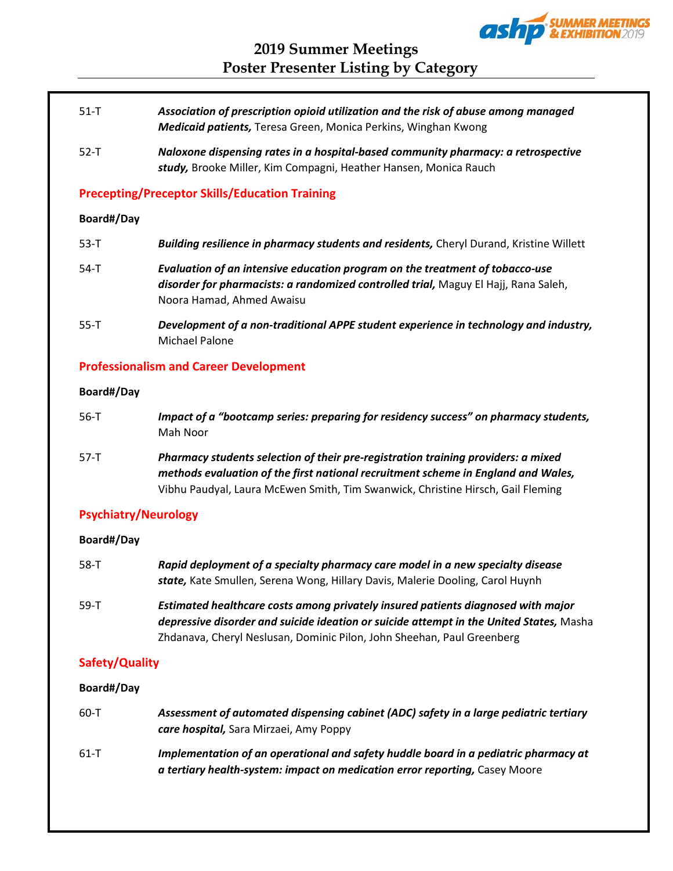

- 51-T *Association of prescription opioid utilization and the risk of abuse among managed Medicaid patients,* Teresa Green, Monica Perkins, Winghan Kwong
- 52-T *Naloxone dispensing rates in a hospital-based community pharmacy: a retrospective study,* Brooke Miller, Kim Compagni, Heather Hansen, Monica Rauch

## **Precepting/Preceptor Skills/Education Training**

#### **Board#/Day**

| $53 - T$ | <b>Building resilience in pharmacy students and residents, Cheryl Durand, Kristine Willett</b>                                                                                                   |
|----------|--------------------------------------------------------------------------------------------------------------------------------------------------------------------------------------------------|
| 54-T     | Evaluation of an intensive education program on the treatment of tobacco-use<br>disorder for pharmacists: a randomized controlled trial, Maguy El Hajj, Rana Saleh,<br>Noora Hamad, Ahmed Awaisu |
| $55 - T$ | Development of a non-traditional APPE student experience in technology and industry,<br>Michael Palone                                                                                           |

## **Professionalism and Career Development**

## **Board#/Day**

| $56 - T$ | Impact of a "bootcamp series: preparing for residency success" on pharmacy students,<br>Mah Noor                                                                       |
|----------|------------------------------------------------------------------------------------------------------------------------------------------------------------------------|
| $57-T$   | Pharmacy students selection of their pre-registration training providers: a mixed<br>methods evaluation of the first national recruitment scheme in England and Wales, |
|          | Vibhu Paudyal, Laura McEwen Smith, Tim Swanwick, Christine Hirsch, Gail Fleming                                                                                        |

## **Psychiatry/Neurology**

## **Board#/Day**

| 58-T | Rapid deployment of a specialty pharmacy care model in a new specialty disease<br>state, Kate Smullen, Serena Wong, Hillary Davis, Malerie Dooling, Carol Huynh             |
|------|-----------------------------------------------------------------------------------------------------------------------------------------------------------------------------|
| 59-T | Estimated healthcare costs among privately insured patients diagnosed with major<br>depressive disorder and suicide ideation or suicide attempt in the United States, Masha |
|      | Zhdanava, Cheryl Neslusan, Dominic Pilon, John Sheehan, Paul Greenberg                                                                                                      |

## **Safety/Quality**

## **Board#/Day**

| 60-T     | Assessment of automated dispensing cabinet (ADC) safety in a large pediatric tertiary<br>care hospital, Sara Mirzaei, Amy Poppy                                    |
|----------|--------------------------------------------------------------------------------------------------------------------------------------------------------------------|
| $61 - T$ | Implementation of an operational and safety huddle board in a pediatric pharmacy at<br>a tertiary health-system: impact on medication error reporting, Casey Moore |